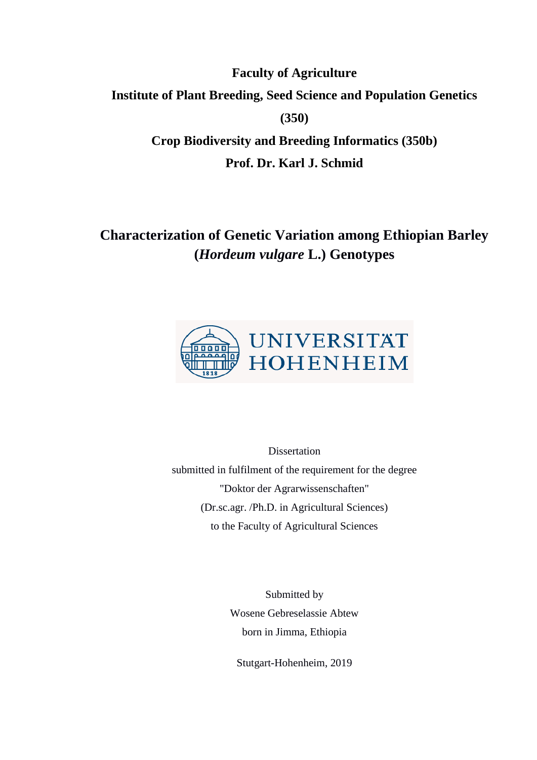**Faculty of Agriculture Institute of Plant Breeding, Seed Science and Population Genetics (350) Crop Biodiversity and Breeding Informatics (350b) Prof. Dr. Karl J. Schmid**

## **Characterization of Genetic Variation among Ethiopian Barley (***Hordeum vulgare* **L.) Genotypes**



**Dissertation** submitted in fulfilment of the requirement for the degree "Doktor der Agrarwissenschaften" (Dr.sc.agr. /Ph.D. in Agricultural Sciences) to the Faculty of Agricultural Sciences

> Submitted by Wosene Gebreselassie Abtew born in Jimma, Ethiopia

Stutgart-Hohenheim, 2019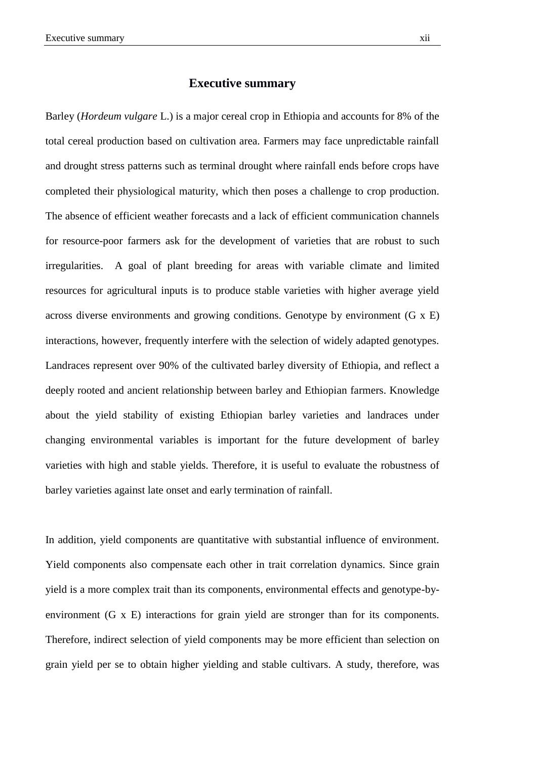## **Executive summary**

Barley (*Hordeum vulgare* L.) is a major cereal crop in Ethiopia and accounts for 8% of the total cereal production based on cultivation area. Farmers may face unpredictable rainfall and drought stress patterns such as terminal drought where rainfall ends before crops have completed their physiological maturity, which then poses a challenge to crop production. The absence of efficient weather forecasts and a lack of efficient communication channels for resource-poor farmers ask for the development of varieties that are robust to such irregularities. A goal of plant breeding for areas with variable climate and limited resources for agricultural inputs is to produce stable varieties with higher average yield across diverse environments and growing conditions. Genotype by environment (G x E) interactions, however, frequently interfere with the selection of widely adapted genotypes. Landraces represent over 90% of the cultivated barley diversity of Ethiopia, and reflect a deeply rooted and ancient relationship between barley and Ethiopian farmers. Knowledge about the yield stability of existing Ethiopian barley varieties and landraces under changing environmental variables is important for the future development of barley varieties with high and stable yields. Therefore, it is useful to evaluate the robustness of barley varieties against late onset and early termination of rainfall.

In addition, yield components are quantitative with substantial influence of environment. Yield components also compensate each other in trait correlation dynamics. Since grain yield is a more complex trait than its components, environmental effects and genotype-byenvironment (G x E) interactions for grain yield are stronger than for its components. Therefore, indirect selection of yield components may be more efficient than selection on grain yield per se to obtain higher yielding and stable cultivars. A study, therefore, was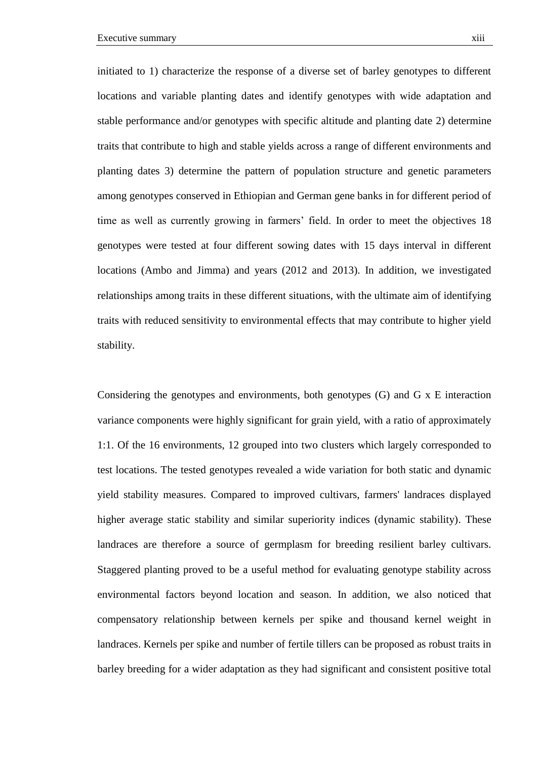initiated to 1) characterize the response of a diverse set of barley genotypes to different locations and variable planting dates and identify genotypes with wide adaptation and stable performance and/or genotypes with specific altitude and planting date 2) determine traits that contribute to high and stable yields across a range of different environments and planting dates 3) determine the pattern of population structure and genetic parameters among genotypes conserved in Ethiopian and German gene banks in for different period of time as well as currently growing in farmers' field. In order to meet the objectives 18 genotypes were tested at four different sowing dates with 15 days interval in different locations (Ambo and Jimma) and years (2012 and 2013). In addition, we investigated relationships among traits in these different situations, with the ultimate aim of identifying traits with reduced sensitivity to environmental effects that may contribute to higher yield stability.

Considering the genotypes and environments, both genotypes (G) and G x E interaction variance components were highly significant for grain yield, with a ratio of approximately 1:1. Of the 16 environments, 12 grouped into two clusters which largely corresponded to test locations. The tested genotypes revealed a wide variation for both static and dynamic yield stability measures. Compared to improved cultivars, farmers' landraces displayed higher average static stability and similar superiority indices (dynamic stability). These landraces are therefore a source of germplasm for breeding resilient barley cultivars. Staggered planting proved to be a useful method for evaluating genotype stability across environmental factors beyond location and season. In addition, we also noticed that compensatory relationship between kernels per spike and thousand kernel weight in landraces. Kernels per spike and number of fertile tillers can be proposed as robust traits in barley breeding for a wider adaptation as they had significant and consistent positive total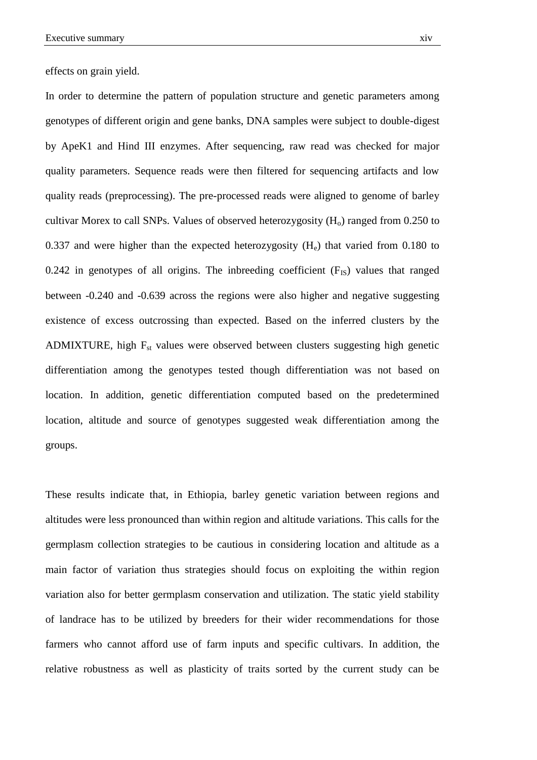effects on grain yield.

In order to determine the pattern of population structure and genetic parameters among genotypes of different origin and gene banks, DNA samples were subject to double-digest by ApeK1 and Hind III enzymes. After sequencing, raw read was checked for major quality parameters. Sequence reads were then filtered for sequencing artifacts and low quality reads (preprocessing). The pre-processed reads were aligned to genome of barley cultivar Morex to call SNPs. Values of observed heterozygosity  $(H<sub>o</sub>)$  ranged from 0.250 to 0.337 and were higher than the expected heterozygosity  $(H_e)$  that varied from 0.180 to 0.242 in genotypes of all origins. The inbreeding coefficient  $(F_{IS})$  values that ranged between -0.240 and -0.639 across the regions were also higher and negative suggesting existence of excess outcrossing than expected. Based on the inferred clusters by the ADMIXTURE, high  $F_{st}$  values were observed between clusters suggesting high genetic differentiation among the genotypes tested though differentiation was not based on location. In addition, genetic differentiation computed based on the predetermined location, altitude and source of genotypes suggested weak differentiation among the groups.

These results indicate that, in Ethiopia, barley genetic variation between regions and altitudes were less pronounced than within region and altitude variations. This calls for the germplasm collection strategies to be cautious in considering location and altitude as a main factor of variation thus strategies should focus on exploiting the within region variation also for better germplasm conservation and utilization. The static yield stability of landrace has to be utilized by breeders for their wider recommendations for those farmers who cannot afford use of farm inputs and specific cultivars. In addition, the relative robustness as well as plasticity of traits sorted by the current study can be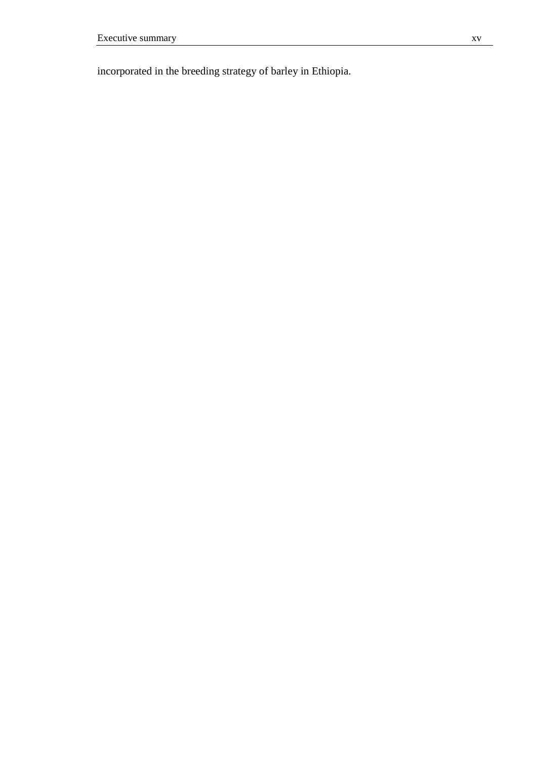incorporated in the breeding strategy of barley in Ethiopia.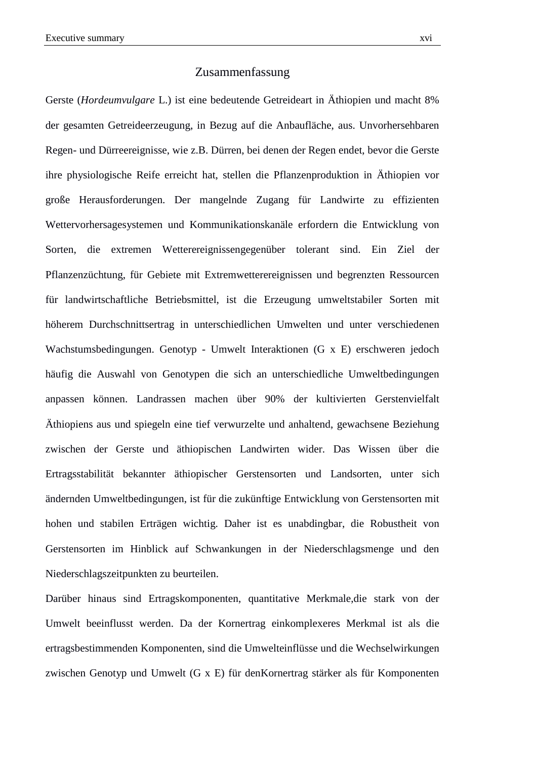## Zusammenfassung

Gerste (*Hordeumvulgare* L.) ist eine bedeutende Getreideart in Äthiopien und macht 8% der gesamten Getreideerzeugung, in Bezug auf die Anbaufläche, aus. Unvorhersehbaren Regen- und Dürreereignisse, wie z.B. Dürren, bei denen der Regen endet, bevor die Gerste ihre physiologische Reife erreicht hat, stellen die Pflanzenproduktion in Äthiopien vor große Herausforderungen. Der mangelnde Zugang für Landwirte zu effizienten Wettervorhersagesystemen und Kommunikationskanäle erfordern die Entwicklung von Sorten, die extremen Wetterereignissengegenüber tolerant sind. Ein Ziel der Pflanzenzüchtung, für Gebiete mit Extremwetterereignissen und begrenzten Ressourcen für landwirtschaftliche Betriebsmittel, ist die Erzeugung umweltstabiler Sorten mit höherem Durchschnittsertrag in unterschiedlichen Umwelten und unter verschiedenen Wachstumsbedingungen. Genotyp - Umwelt Interaktionen (G x E) erschweren jedoch häufig die Auswahl von Genotypen die sich an unterschiedliche Umweltbedingungen anpassen können. Landrassen machen über 90% der kultivierten Gerstenvielfalt Äthiopiens aus und spiegeln eine tief verwurzelte und anhaltend, gewachsene Beziehung zwischen der Gerste und äthiopischen Landwirten wider. Das Wissen über die Ertragsstabilität bekannter äthiopischer Gerstensorten und Landsorten, unter sich ändernden Umweltbedingungen, ist für die zukünftige Entwicklung von Gerstensorten mit hohen und stabilen Erträgen wichtig. Daher ist es unabdingbar, die Robustheit von Gerstensorten im Hinblick auf Schwankungen in der Niederschlagsmenge und den Niederschlagszeitpunkten zu beurteilen.

Darüber hinaus sind Ertragskomponenten, quantitative Merkmale,die stark von der Umwelt beeinflusst werden. Da der Kornertrag einkomplexeres Merkmal ist als die ertragsbestimmenden Komponenten, sind die Umwelteinflüsse und die Wechselwirkungen zwischen Genotyp und Umwelt (G x E) für denKornertrag stärker als für Komponenten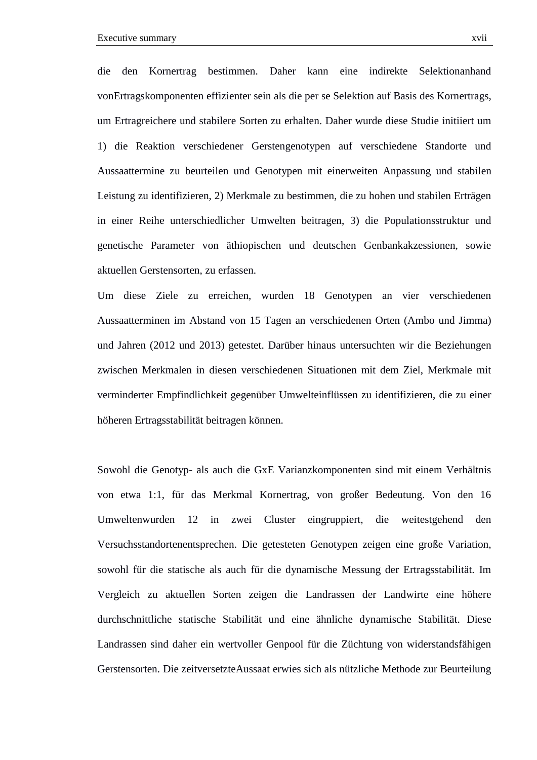die den Kornertrag bestimmen. Daher kann eine indirekte Selektionanhand vonErtragskomponenten effizienter sein als die per se Selektion auf Basis des Kornertrags, um Ertragreichere und stabilere Sorten zu erhalten. Daher wurde diese Studie initiiert um 1) die Reaktion verschiedener Gerstengenotypen auf verschiedene Standorte und Aussaattermine zu beurteilen und Genotypen mit einerweiten Anpassung und stabilen Leistung zu identifizieren, 2) Merkmale zu bestimmen, die zu hohen und stabilen Erträgen in einer Reihe unterschiedlicher Umwelten beitragen, 3) die Populationsstruktur und genetische Parameter von äthiopischen und deutschen Genbankakzessionen, sowie aktuellen Gerstensorten, zu erfassen.

Um diese Ziele zu erreichen, wurden 18 Genotypen an vier verschiedenen Aussaatterminen im Abstand von 15 Tagen an verschiedenen Orten (Ambo und Jimma) und Jahren (2012 und 2013) getestet. Darüber hinaus untersuchten wir die Beziehungen zwischen Merkmalen in diesen verschiedenen Situationen mit dem Ziel, Merkmale mit verminderter Empfindlichkeit gegenüber Umwelteinflüssen zu identifizieren, die zu einer höheren Ertragsstabilität beitragen können.

Sowohl die Genotyp- als auch die GxE Varianzkomponenten sind mit einem Verhältnis von etwa 1:1, für das Merkmal Kornertrag, von großer Bedeutung. Von den 16 Umweltenwurden 12 in zwei Cluster eingruppiert, die weitestgehend den Versuchsstandortenentsprechen. Die getesteten Genotypen zeigen eine große Variation, sowohl für die statische als auch für die dynamische Messung der Ertragsstabilität. Im Vergleich zu aktuellen Sorten zeigen die Landrassen der Landwirte eine höhere durchschnittliche statische Stabilität und eine ähnliche dynamische Stabilität. Diese Landrassen sind daher ein wertvoller Genpool für die Züchtung von widerstandsfähigen Gerstensorten. Die zeitversetzteAussaat erwies sich als nützliche Methode zur Beurteilung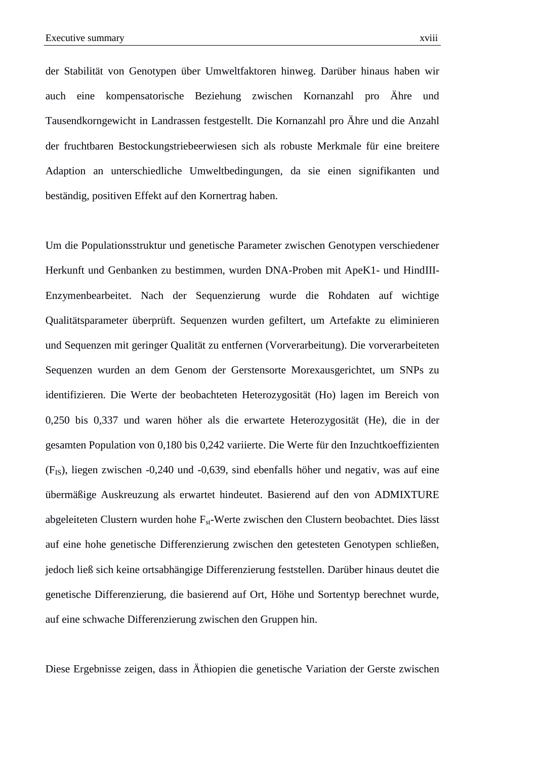der Stabilität von Genotypen über Umweltfaktoren hinweg. Darüber hinaus haben wir auch eine kompensatorische Beziehung zwischen Kornanzahl pro Ähre und Tausendkorngewicht in Landrassen festgestellt. Die Kornanzahl pro Ähre und die Anzahl

der fruchtbaren Bestockungstriebeerwiesen sich als robuste Merkmale für eine breitere Adaption an unterschiedliche Umweltbedingungen, da sie einen signifikanten und beständig, positiven Effekt auf den Kornertrag haben.

Um die Populationsstruktur und genetische Parameter zwischen Genotypen verschiedener Herkunft und Genbanken zu bestimmen, wurden DNA-Proben mit ApeK1- und HindIII-Enzymenbearbeitet. Nach der Sequenzierung wurde die Rohdaten auf wichtige Qualitätsparameter überprüft. Sequenzen wurden gefiltert, um Artefakte zu eliminieren und Sequenzen mit geringer Qualität zu entfernen (Vorverarbeitung). Die vorverarbeiteten Sequenzen wurden an dem Genom der Gerstensorte Morexausgerichtet, um SNPs zu identifizieren. Die Werte der beobachteten Heterozygosität (Ho) lagen im Bereich von 0,250 bis 0,337 und waren höher als die erwartete Heterozygosität (He), die in der gesamten Population von 0,180 bis 0,242 variierte. Die Werte für den Inzuchtkoeffizienten (FIS), liegen zwischen -0,240 und -0,639, sind ebenfalls höher und negativ, was auf eine übermäßige Auskreuzung als erwartet hindeutet. Basierend auf den von ADMIXTURE abgeleiteten Clustern wurden hohe  $F_{st}$ -Werte zwischen den Clustern beobachtet. Dies lässt auf eine hohe genetische Differenzierung zwischen den getesteten Genotypen schließen, jedoch ließ sich keine ortsabhängige Differenzierung feststellen. Darüber hinaus deutet die genetische Differenzierung, die basierend auf Ort, Höhe und Sortentyp berechnet wurde, auf eine schwache Differenzierung zwischen den Gruppen hin.

Diese Ergebnisse zeigen, dass in Äthiopien die genetische Variation der Gerste zwischen